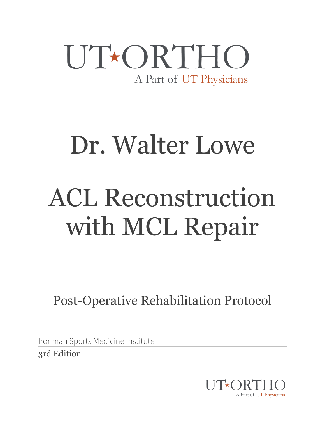

# Dr. Walter Lowe

# ACL Reconstruction with MCL Repair

Post-Operative Rehabilitation Protocol

Ironman Sports Medicine Institute

3rd Edition

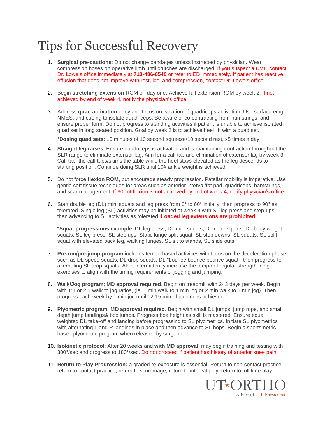### Tips for Successful Recovery

- 1. **Surgical pre-cautions**: Do not change bandages unless instructed by physician. Wear compression hoses on operative limb until crutches are discharged. If you suspect a DVT, contact Dr. Lowe's office immediately at **713-486-6540** or refer to ED immediately. If patient has reactive effusion that does not improve with rest, ice, and compression, contact Dr. Lowe's office.
- 2. Begin **stretching extension** ROM on day one. Achieve full extension ROM by week 2. If not achieved by end of week 4, notify the physician's office.
- 3. Address **quad activation** early and focus on isolation of quadriceps activation. Use surface emg, NMES, and cueing to isolate quadriceps. Be aware of co-contracting from hamstrings, and ensure proper form. Do not progress to standing activities if patient is unable to achieve isolated quad set in long seated position. Goal by week 2 is to achieve heel lift with a quad set.

\***Dosing quad sets**: 10 minutes of 10 second squeeze/10 second rest, x5 times a day.

- 4. **Straight leg raises**: Ensure quadriceps is activated and is maintaining contraction throughout the SLR range to eliminate extensor lag. Aim for a calf tap and elimination of extensor lag by week 3. Calf tap: the calf taps/skims the table while the heel stays elevated as the leg descends to starting position. Continue doing SLR until 10# ankle weight is achieved.
- 5. Do not force **flexion ROM**, but encourage steady progression. Patellar mobility is imperative. Use gentle soft tissue techniques for areas such as anterior interval/fat pad, quadriceps, hamstrings, and scar management. If 90° of flexion is not achieved by end of week 4, notify physician's office.
- 6. Start double leg (DL) mini squats and leg press from 0° to 60° initially, then progress to 90° as tolerated. Single leg (SL) activities may be initiated at week 4 with SL leg press and step-ups, then advancing to SL activities as tolerated. **Loaded leg extensions are prohibited**.

\***Squat progressions example**: DL leg press, DL mini squats, DL chair squats, DL body weight squats, SL leg press, SL step ups, Static lunge split squat, SL step downs, SL squats, SL split squat with elevated back leg, walking lunges, SL sit to stands, SL slide outs.

- 7. **Pre-run/pre-jump program** includes tempo-based activities with focus on the deceleration phase such as DL speed squats, DL drop squats, DL "bounce bounce bounce squat", then progress to alternating SL drop squats. Also, intermittently increase the tempo of regular strengthening exercises to align with the timing requirements of jogging and jumping.
- 8. **Walk/Jog program**: **MD approval required**. Begin on treadmill with 2- 3 days per week. Begin with 1:1 or 2:1 walk to jog ratios, (ie. 1 min walk to 1 min jog or 2 min walk to 1 min jog). Then progress each week by 1 min jog until 12-15 min of jogging is achieved.
- 9. **Plyometric program**: **MD approval required**. Begin with small DL jumps, jump rope, and small depth jump landings& box jumps. Progress box height as skill is mastered. Ensure equal weighted DL take-off and landing before progressing to SL plyometrics. Initiate SL plyometrics with alternating L and R landings in place and then advance to SL hops. Begin a sportsmetric based plyometric program when released by surgeon.
- 10. **Isokinetic protocol**: After 20 weeks and **with MD approval**, may begin training and testing with 300°/sec and progress to 180°/sec. Do not proceed if patient has history of anterior knee pain.
- 11. **Return to Play Progression:** a graded re-exposure is essential. Return to non-contact practice, return to contact practice, return to scrimmage, return to interval play, return to full time play.

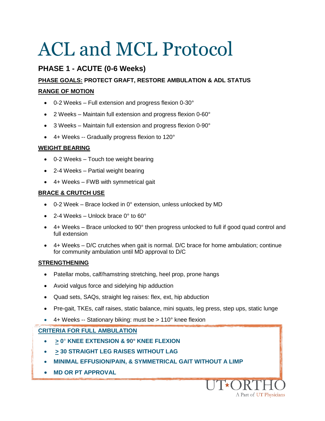#### **PHASE 1 - ACUTE (0-6 Weeks)**

#### **PHASE GOALS: PROTECT GRAFT, RESTORE AMBULATION & ADL STATUS**

#### **RANGE OF MOTION**

- 0-2 Weeks Full extension and progress flexion 0-30°
- 2 Weeks Maintain full extension and progress flexion 0-60°
- 3 Weeks Maintain full extension and progress flexion 0-90°
- 4+ Weeks -- Gradually progress flexion to 120°

#### **WEIGHT BEARING**

- 0-2 Weeks Touch toe weight bearing
- 2-4 Weeks Partial weight bearing
- 4+ Weeks FWB with symmetrical gait

#### **BRACE & CRUTCH USE**

- 0-2 Week Brace locked in 0° extension, unless unlocked by MD
- $\bullet$  2-4 Weeks Unlock brace 0 $\degree$  to 60 $\degree$
- $\bullet$  4+ Weeks Brace unlocked to 90 $^{\circ}$  then progress unlocked to full if good quad control and full extension
- 4+ Weeks D/C crutches when gait is normal. D/C brace for home ambulation; continue for community ambulation until MD approval to D/C

#### **STRENGTHENING**

- Patellar mobs, calf/hamstring stretching, heel prop, prone hangs
- Avoid valgus force and sidelying hip adduction
- Quad sets, SAQs, straight leg raises: flex, ext, hip abduction
- Pre-gait, TKEs, calf raises, static balance, mini squats, leg press, step ups, static lunge

A Part of UT Physicians

4+ Weeks -- Stationary biking: must be > 110° knee flexion

#### **CRITERIA FOR FULL AMBULATION**

- **> 0**° **KNEE EXTENSION & 90° KNEE FLEXION**
- **> 30 STRAIGHT LEG RAISES WITHOUT LAG**
- **MINIMAL EFFUSION/PAIN, & SYMMETRICAL GAIT WITHOUT A LIMP**
- **MD OR PT APPROVAL**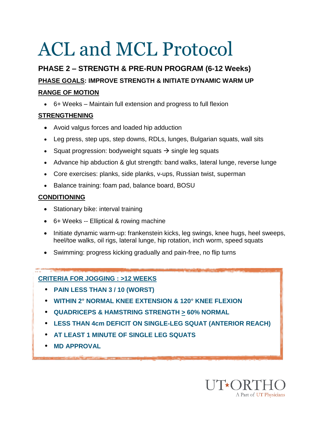### **PHASE 2 – STRENGTH & PRE-RUN PROGRAM (6-12 Weeks) PHASE GOALS: IMPROVE STRENGTH & INITIATE DYNAMIC WARM UP RANGE OF MOTION**

6+ Weeks – Maintain full extension and progress to full flexion

#### **STRENGTHENING**

- Avoid valgus forces and loaded hip adduction
- Leg press, step ups, step downs, RDLs, lunges, Bulgarian squats, wall sits
- Squat progression: bodyweight squats  $\rightarrow$  single leg squats
- Advance hip abduction & glut strength: band walks, lateral lunge, reverse lunge
- Core exercises: planks, side planks, v-ups, Russian twist, superman
- Balance training: foam pad, balance board, BOSU

#### **CONDITIONING**

- Stationary bike: interval training
- 6+ Weeks -- Elliptical & rowing machine
- Initiate dynamic warm-up: frankenstein kicks, leg swings, knee hugs, heel sweeps, heel/toe walks, oil rigs, lateral lunge, hip rotation, inch worm, speed squats
- Swimming: progress kicking gradually and pain-free, no flip turns

#### **CRITERIA FOR JOGGING : >12 WEEKS**

- **PAIN LESS THAN 3 / 10 (WORST)**
- **WITHIN 2° NORMAL KNEE EXTENSION & 120° KNEE FLEXION**
- **QUADRICEPS & HAMSTRING STRENGTH > 60% NORMAL**
- **LESS THAN 4cm DEFICIT ON SINGLE-LEG SQUAT (ANTERIOR REACH)**
- **AT LEAST 1 MINUTE OF SINGLE LEG SQUATS**
- **MD APPROVAL**

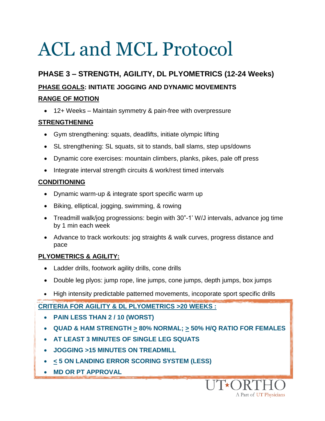### **PHASE 3 – STRENGTH, AGILITY, DL PLYOMETRICS (12-24 Weeks) PHASE GOALS: INITIATE JOGGING AND DYNAMIC MOVEMENTS**

#### **RANGE OF MOTION**

12+ Weeks – Maintain symmetry & pain-free with overpressure

#### **STRENGTHENING**

- Gym strengthening: squats, deadlifts, initiate olympic lifting
- SL strengthening: SL squats, sit to stands, ball slams, step ups/downs
- Dynamic core exercises: mountain climbers, planks, pikes, pale off press
- Integrate interval strength circuits & work/rest timed intervals

#### **CONDITIONING**

- Dynamic warm-up & integrate sport specific warm up
- Biking, elliptical, jogging, swimming, & rowing
- Treadmill walk/jog progressions: begin with 30"-1' W/J intervals, advance jog time by 1 min each week
- Advance to track workouts: jog straights & walk curves, progress distance and pace

#### **PLYOMETRICS & AGILITY:**

- Ladder drills, footwork agility drills, cone drills
- Double leg plyos: jump rope, line jumps, cone jumps, depth jumps, box jumps
- High intensity predictable patterned movements, incoporate sport specific drills

**CRITERIA FOR AGILITY & DL PLYOMETRICS >20 WEEKS :**

- **PAIN LESS THAN 2 / 10 (WORST)**
- **QUAD & HAM STRENGTH > 80% NORMAL; > 50% H/Q RATIO FOR FEMALES**

A Part of UT Physicians

- **AT LEAST 3 MINUTES OF SINGLE LEG SQUATS**
- **JOGGING >15 MINUTES ON TREADMILL**
- **< 5 ON LANDING ERROR SCORING SYSTEM (LESS)**
- **MD OR PT APPROVAL**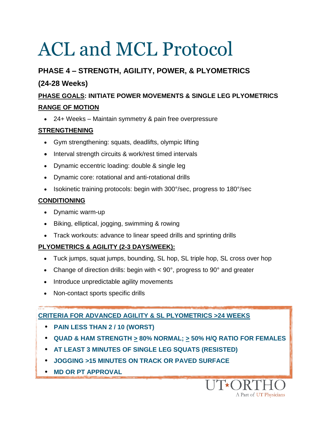#### **PHASE 4 – STRENGTH, AGILITY, POWER, & PLYOMETRICS**

#### **(24-28 Weeks)**

#### **PHASE GOALS: INITIATE POWER MOVEMENTS & SINGLE LEG PLYOMETRICS RANGE OF MOTION**

24+ Weeks – Maintain symmetry & pain free overpressure

#### **STRENGTHENING**

- Gym strengthening: squats, deadlifts, olympic lifting
- Interval strength circuits & work/rest timed intervals
- Dynamic eccentric loading: double & single leg
- Dynamic core: rotational and anti-rotational drills
- Isokinetic training protocols: begin with 300°/sec, progress to 180°/sec

#### **CONDITIONING**

- Dynamic warm-up
- Biking, elliptical, jogging, swimming & rowing
- Track workouts: advance to linear speed drills and sprinting drills

#### **PLYOMETRICS & AGILITY (2-3 DAYS/WEEK):**

- Tuck jumps, squat jumps, bounding, SL hop, SL triple hop, SL cross over hop
- Change of direction drills: begin with  $< 90^\circ$ , progress to  $90^\circ$  and greater
- Introduce unpredictable agility movements
- Non-contact sports specific drills

#### **CRITERIA FOR ADVANCED AGILITY & SL PLYOMETRICS >24 WEEKS**

- **PAIN LESS THAN 2 / 10 (WORST)**
- **QUAD & HAM STRENGTH > 80% NORMAL; > 50% H/Q RATIO FOR FEMALES**

A Part of UT Physicians

- **AT LEAST 3 MINUTES OF SINGLE LEG SQUATS (RESISTED)**
- **JOGGING >15 MINUTES ON TRACK OR PAVED SURFACE**
- **MD OR PT APPROVAL**